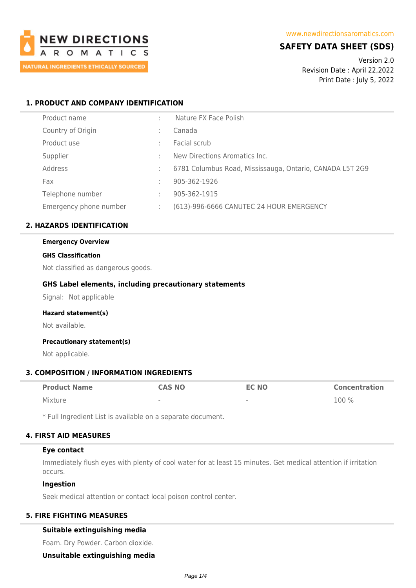

# **SAFETY DATA SHEET (SDS)**

Version 2.0 Revision Date : April 22,2022 Print Date : July 5, 2022

# **1. PRODUCT AND COMPANY IDENTIFICATION**

|   | Nature FX Face Polish                                    |
|---|----------------------------------------------------------|
|   | Canada                                                   |
|   | Facial scrub                                             |
|   | New Directions Aromatics Inc.                            |
|   | 6781 Columbus Road, Mississauga, Ontario, CANADA L5T 2G9 |
|   | 905-362-1926                                             |
|   | 905-362-1915                                             |
| ÷ | (613)-996-6666 CANUTEC 24 HOUR EMERGENCY                 |
|   |                                                          |

# **2. HAZARDS IDENTIFICATION**

# **Emergency Overview**

### **GHS Classification**

Not classified as dangerous goods.

# **GHS Label elements, including precautionary statements**

Signal: Not applicable

#### **Hazard statement(s)**

Not available.

# **Precautionary statement(s)**

Not applicable.

# **3. COMPOSITION / INFORMATION INGREDIENTS**

| <b>Product Name</b> | <b>CAS NO</b> | <b>EC NO</b>             | <b>Concentration</b> |
|---------------------|---------------|--------------------------|----------------------|
| Mixture             | $\sim$        | $\overline{\phantom{a}}$ | 100 %                |

\* Full Ingredient List is available on a separate document.

# **4. FIRST AID MEASURES**

# **Eye contact**

Immediately flush eyes with plenty of cool water for at least 15 minutes. Get medical attention if irritation occurs.

#### **Ingestion**

Seek medical attention or contact local poison control center.

# **5. FIRE FIGHTING MEASURES**

# **Suitable extinguishing media**

Foam. Dry Powder. Carbon dioxide.

**Unsuitable extinguishing media**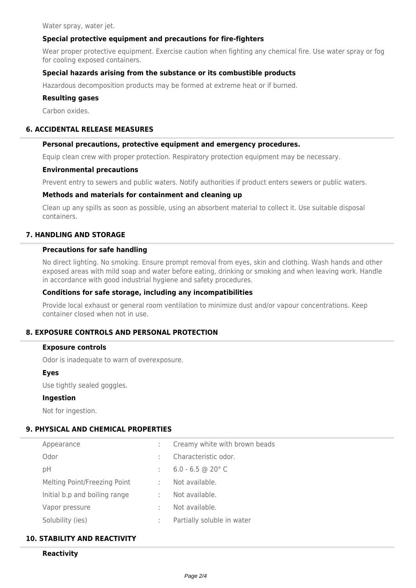Water spray, water jet.

# **Special protective equipment and precautions for fire-fighters**

Wear proper protective equipment. Exercise caution when fighting any chemical fire. Use water spray or fog for cooling exposed containers.

# **Special hazards arising from the substance or its combustible products**

Hazardous decomposition products may be formed at extreme heat or if burned.

### **Resulting gases**

Carbon oxides.

### **6. ACCIDENTAL RELEASE MEASURES**

#### **Personal precautions, protective equipment and emergency procedures.**

Equip clean crew with proper protection. Respiratory protection equipment may be necessary.

#### **Environmental precautions**

Prevent entry to sewers and public waters. Notify authorities if product enters sewers or public waters.

# **Methods and materials for containment and cleaning up**

Clean up any spills as soon as possible, using an absorbent material to collect it. Use suitable disposal containers.

# **7. HANDLING AND STORAGE**

# **Precautions for safe handling**

No direct lighting. No smoking. Ensure prompt removal from eyes, skin and clothing. Wash hands and other exposed areas with mild soap and water before eating, drinking or smoking and when leaving work. Handle in accordance with good industrial hygiene and safety procedures.

#### **Conditions for safe storage, including any incompatibilities**

Provide local exhaust or general room ventilation to minimize dust and/or vapour concentrations. Keep container closed when not in use.

# **8. EXPOSURE CONTROLS AND PERSONAL PROTECTION**

#### **Exposure controls**

Odor is inadequate to warn of overexposure.

### **Eyes**

Use tightly sealed goggles.

#### **Ingestion**

Not for ingestion.

#### **9. PHYSICAL AND CHEMICAL PROPERTIES**

| Appearance                    |         | Creamy white with brown beads |
|-------------------------------|---------|-------------------------------|
| Odor                          |         | Characteristic odor.          |
| рH                            |         | $6.0 - 6.5$ @ 20 $^{\circ}$ C |
| Melting Point/Freezing Point  |         | Not available.                |
| Initial b.p and boiling range | ÷       | Not available.                |
| Vapor pressure                |         | Not available.                |
| Solubility (ies)              | $\cdot$ | Partially soluble in water    |

# **10. STABILITY AND REACTIVITY**

### **Reactivity**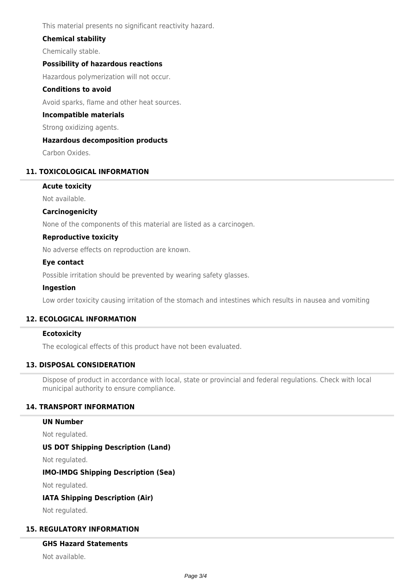This material presents no significant reactivity hazard.

# **Chemical stability**

Chemically stable.

# **Possibility of hazardous reactions**

Hazardous polymerization will not occur.

# **Conditions to avoid**

Avoid sparks, flame and other heat sources.

### **Incompatible materials**

Strong oxidizing agents.

### **Hazardous decomposition products**

Carbon Oxides.

# **11. TOXICOLOGICAL INFORMATION**

### **Acute toxicity**

Not available.

### **Carcinogenicity**

None of the components of this material are listed as a carcinogen.

# **Reproductive toxicity**

No adverse effects on reproduction are known.

### **Eye contact**

Possible irritation should be prevented by wearing safety glasses.

#### **Ingestion**

Low order toxicity causing irritation of the stomach and intestines which results in nausea and vomiting

# **12. ECOLOGICAL INFORMATION**

### **Ecotoxicity**

The ecological effects of this product have not been evaluated.

# **13. DISPOSAL CONSIDERATION**

Dispose of product in accordance with local, state or provincial and federal regulations. Check with local municipal authority to ensure compliance.

# **14. TRANSPORT INFORMATION**

#### **UN Number**

Not regulated.

# **US DOT Shipping Description (Land)**

Not regulated.

# **IMO-IMDG Shipping Description (Sea)**

Not regulated.

#### **IATA Shipping Description (Air)**

Not regulated.

#### **15. REGULATORY INFORMATION**

#### **GHS Hazard Statements**

Not available.